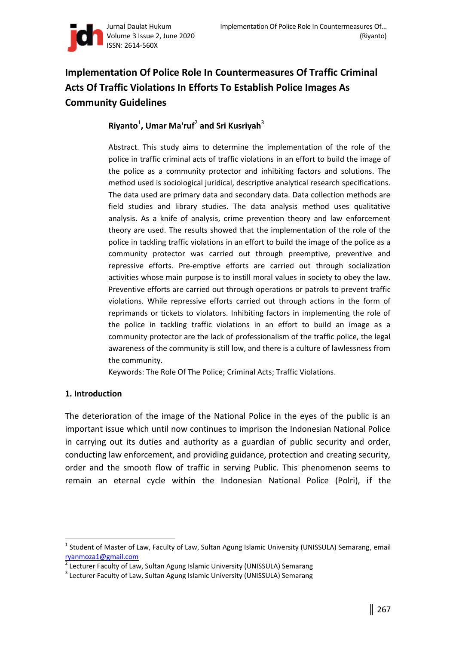

# **Implementation Of Police Role In Countermeasures Of Traffic Criminal Acts Of Traffic Violations In Efforts To Establish Police Images As Community Guidelines**

# **Riyanto**<sup>1</sup> **, Umar Ma'ruf**<sup>2</sup> **and Sri Kusriyah**<sup>3</sup>

Abstract. This study aims to determine the implementation of the role of the police in traffic criminal acts of traffic violations in an effort to build the image of the police as a community protector and inhibiting factors and solutions. The method used is sociological juridical, descriptive analytical research specifications. The data used are primary data and secondary data. Data collection methods are field studies and library studies. The data analysis method uses qualitative analysis. As a knife of analysis, crime prevention theory and law enforcement theory are used. The results showed that the implementation of the role of the police in tackling traffic violations in an effort to build the image of the police as a community protector was carried out through preemptive, preventive and repressive efforts. Pre-emptive efforts are carried out through socialization activities whose main purpose is to instill moral values in society to obey the law. Preventive efforts are carried out through operations or patrols to prevent traffic violations. While repressive efforts carried out through actions in the form of reprimands or tickets to violators. Inhibiting factors in implementing the role of the police in tackling traffic violations in an effort to build an image as a community protector are the lack of professionalism of the traffic police, the legal awareness of the community is still low, and there is a culture of lawlessness from the community.

Keywords: The Role Of The Police; Criminal Acts; Traffic Violations.

# **1. Introduction**

 $\overline{a}$ 

The deterioration of the image of the National Police in the eyes of the public is an important issue which until now continues to imprison the Indonesian National Police in carrying out its duties and authority as a guardian of public security and order, conducting law enforcement, and providing guidance, protection and creating security, order and the smooth flow of traffic in serving Public. This phenomenon seems to remain an eternal cycle within the Indonesian National Police (Polri), if the

<sup>&</sup>lt;sup>1</sup> Student of Master of Law, Faculty of Law, Sultan Agung Islamic University (UNISSULA) Semarang, email ryanmoza1@gmail.com<br>2 Locturer Faculty of Lay

Lecturer Faculty of Law, Sultan Agung Islamic University (UNISSULA) Semarang

<sup>&</sup>lt;sup>3</sup> Lecturer Faculty of Law, Sultan Agung Islamic University (UNISSULA) Semarang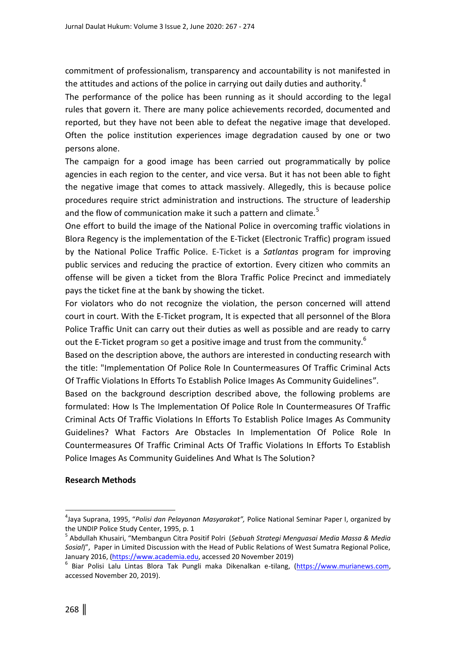commitment of professionalism, transparency and accountability is not manifested in the attitudes and actions of the police in carrying out daily duties and authority.<sup>4</sup>

The performance of the police has been running as it should according to the legal rules that govern it. There are many police achievements recorded, documented and reported, but they have not been able to defeat the negative image that developed. Often the police institution experiences image degradation caused by one or two persons alone.

The campaign for a good image has been carried out programmatically by police agencies in each region to the center, and vice versa. But it has not been able to fight the negative image that comes to attack massively. Allegedly, this is because police procedures require strict administration and instructions. The structure of leadership and the flow of communication make it such a pattern and climate.<sup>5</sup>

One effort to build the image of the National Police in overcoming traffic violations in Blora Regency is the implementation of the E-Ticket (Electronic Traffic) program issued by the National Police Traffic Police. E-Ticket is a *Satlantas* program for improving public services and reducing the practice of extortion. Every citizen who commits an offense will be given a ticket from the Blora Traffic Police Precinct and immediately pays the ticket fine at the bank by showing the ticket.

For violators who do not recognize the violation, the person concerned will attend court in court. With the E-Ticket program, It is expected that all personnel of the Blora Police Traffic Unit can carry out their duties as well as possible and are ready to carry out the E-Ticket program so get a positive image and trust from the community.<sup>6</sup>

Based on the description above, the authors are interested in conducting research with the title: "Implementation Of Police Role In Countermeasures Of Traffic Criminal Acts Of Traffic Violations In Efforts To Establish Police Images As Community Guidelines".

Based on the background description described above, the following problems are formulated: How Is The Implementation Of Police Role In Countermeasures Of Traffic Criminal Acts Of Traffic Violations In Efforts To Establish Police Images As Community Guidelines? What Factors Are Obstacles In Implementation Of Police Role In Countermeasures Of Traffic Criminal Acts Of Traffic Violations In Efforts To Establish Police Images As Community Guidelines And What Is The Solution?

#### **Research Methods**

 $\overline{a}$ 

<sup>4</sup> Jaya Suprana, 1995, "*Polisi dan Pelayanan Masyarakat",* Police National Seminar Paper I, organized by the UNDIP Police Study Center, 1995, p. 1

<sup>5</sup> Abdullah Khusairi, "Membangun Citra Positif Polri (*Sebuah Strategi Menguasai Media Massa & Media Sosial*)", Paper in Limited Discussion with the Head of Public Relations of West Sumatra Regional Police, January 2016, [\(https://www.academia.edu,](https://www.academia.edu/) accessed 20 November 2019)

<sup>&</sup>lt;sup>6</sup> Biar Polisi Lalu Lintas Blora Tak Pungli maka Dikenalkan e-tilang, [\(https://www.murianews.com,](https://www.murianews.com/) accessed November 20, 2019).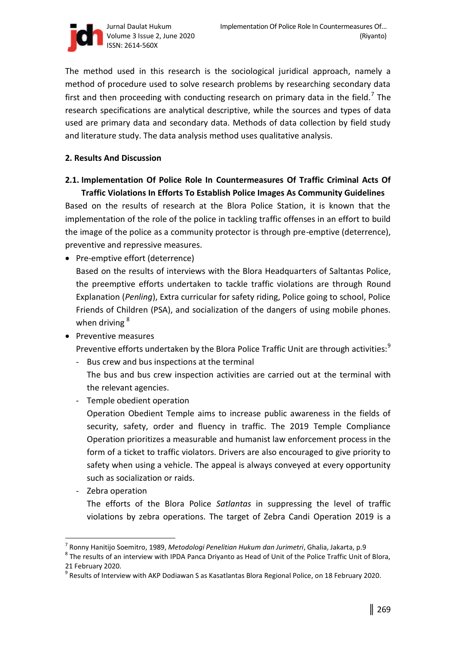

The method used in this research is the sociological juridical approach, namely a method of procedure used to solve research problems by researching secondary data first and then proceeding with conducting research on primary data in the field.<sup>7</sup> The research specifications are analytical descriptive, while the sources and types of data used are primary data and secondary data. Methods of data collection by field study and literature study. The data analysis method uses qualitative analysis.

### **2. Results And Discussion**

# **2.1. Implementation Of Police Role In Countermeasures Of Traffic Criminal Acts Of Traffic Violations In Efforts To Establish Police Images As Community Guidelines**

Based on the results of research at the Blora Police Station, it is known that the implementation of the role of the police in tackling traffic offenses in an effort to build the image of the police as a community protector is through pre-emptive (deterrence), preventive and repressive measures.

• Pre-emptive effort (deterrence)

Based on the results of interviews with the Blora Headquarters of Saltantas Police, the preemptive efforts undertaken to tackle traffic violations are through Round Explanation (*Penling*), Extra curricular for safety riding, Police going to school, Police Friends of Children (PSA), and socialization of the dangers of using mobile phones. when driving <sup>8</sup>

• Preventive measures

Preventive efforts undertaken by the Blora Police Traffic Unit are through activities:<sup>9</sup>

- Bus crew and bus inspections at the terminal

The bus and bus crew inspection activities are carried out at the terminal with the relevant agencies.

- Temple obedient operation

Operation Obedient Temple aims to increase public awareness in the fields of security, safety, order and fluency in traffic. The 2019 Temple Compliance Operation prioritizes a measurable and humanist law enforcement process in the form of a ticket to traffic violators. Drivers are also encouraged to give priority to safety when using a vehicle. The appeal is always conveyed at every opportunity such as socialization or raids.

- Zebra operation

 $\overline{a}$ 

The efforts of the Blora Police *Satlantas* in suppressing the level of traffic violations by zebra operations. The target of Zebra Candi Operation 2019 is a

 $^8$  The results of an interview with IPDA Panca Driyanto as Head of Unit of the Police Traffic Unit of Blora, 21 February 2020.

<sup>7</sup> Ronny Hanitijo Soemitro, 1989, *Metodologi Penelitian Hukum dan Jurimetri*, Ghalia, Jakarta, p.9

<sup>&</sup>lt;sup>9</sup> Results of Interview with AKP Dodiawan S as Kasatlantas Blora Regional Police, on 18 February 2020.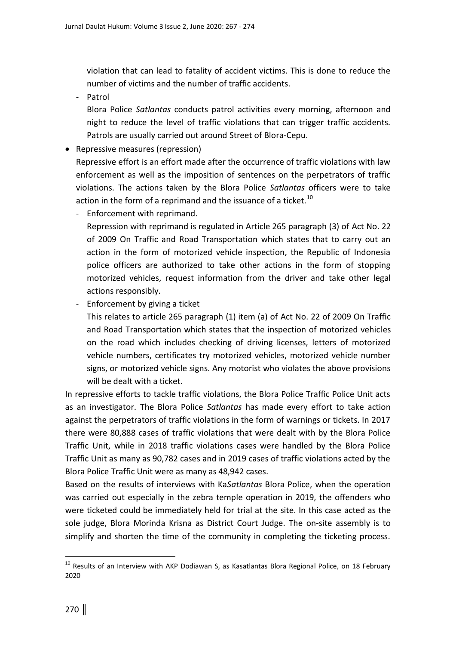violation that can lead to fatality of accident victims. This is done to reduce the number of victims and the number of traffic accidents.

- Patrol

Blora Police *Satlantas* conducts patrol activities every morning, afternoon and night to reduce the level of traffic violations that can trigger traffic accidents. Patrols are usually carried out around Street of Blora-Cepu.

• Repressive measures (repression)

Repressive effort is an effort made after the occurrence of traffic violations with law enforcement as well as the imposition of sentences on the perpetrators of traffic violations. The actions taken by the Blora Police *Satlantas* officers were to take action in the form of a reprimand and the issuance of a ticket.<sup>10</sup>

- Enforcement with reprimand.

Repression with reprimand is regulated in Article 265 paragraph (3) of Act No. 22 of 2009 On Traffic and Road Transportation which states that to carry out an action in the form of motorized vehicle inspection, the Republic of Indonesia police officers are authorized to take other actions in the form of stopping motorized vehicles, request information from the driver and take other legal actions responsibly.

- Enforcement by giving a ticket

This relates to article 265 paragraph (1) item (a) of Act No. 22 of 2009 On Traffic and Road Transportation which states that the inspection of motorized vehicles on the road which includes checking of driving licenses, letters of motorized vehicle numbers, certificates try motorized vehicles, motorized vehicle number signs, or motorized vehicle signs. Any motorist who violates the above provisions will be dealt with a ticket.

In repressive efforts to tackle traffic violations, the Blora Police Traffic Police Unit acts as an investigator. The Blora Police *Satlantas* has made every effort to take action against the perpetrators of traffic violations in the form of warnings or tickets. In 2017 there were 80,888 cases of traffic violations that were dealt with by the Blora Police Traffic Unit, while in 2018 traffic violations cases were handled by the Blora Police Traffic Unit as many as 90,782 cases and in 2019 cases of traffic violations acted by the Blora Police Traffic Unit were as many as 48,942 cases.

Based on the results of interviews with Ka*Satlantas* Blora Police, when the operation was carried out especially in the zebra temple operation in 2019, the offenders who were ticketed could be immediately held for trial at the site. In this case acted as the sole judge, Blora Morinda Krisna as District Court Judge. The on-site assembly is to simplify and shorten the time of the community in completing the ticketing process.

 $\overline{a}$ 

 $10$  Results of an Interview with AKP Dodiawan S, as Kasatlantas Blora Regional Police, on 18 February 2020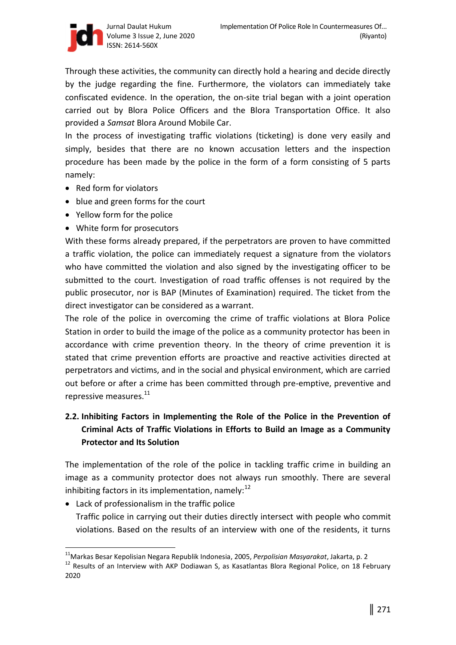

Through these activities, the community can directly hold a hearing and decide directly by the judge regarding the fine. Furthermore, the violators can immediately take confiscated evidence. In the operation, the on-site trial began with a joint operation carried out by Blora Police Officers and the Blora Transportation Office. It also provided a *Samsat* Blora Around Mobile Car.

In the process of investigating traffic violations (ticketing) is done very easily and simply, besides that there are no known accusation letters and the inspection procedure has been made by the police in the form of a form consisting of 5 parts namely:

- Red form for violators
- blue and green forms for the court
- Yellow form for the police
- White form for prosecutors

With these forms already prepared, if the perpetrators are proven to have committed a traffic violation, the police can immediately request a signature from the violators who have committed the violation and also signed by the investigating officer to be submitted to the court. Investigation of road traffic offenses is not required by the public prosecutor, nor is BAP (Minutes of Examination) required. The ticket from the direct investigator can be considered as a warrant.

The role of the police in overcoming the crime of traffic violations at Blora Police Station in order to build the image of the police as a community protector has been in accordance with crime prevention theory. In the theory of crime prevention it is stated that crime prevention efforts are proactive and reactive activities directed at perpetrators and victims, and in the social and physical environment, which are carried out before or after a crime has been committed through pre-emptive, preventive and repressive measures.<sup>11</sup>

# **2.2. Inhibiting Factors in Implementing the Role of the Police in the Prevention of Criminal Acts of Traffic Violations in Efforts to Build an Image as a Community Protector and Its Solution**

The implementation of the role of the police in tackling traffic crime in building an image as a community protector does not always run smoothly. There are several inhibiting factors in its implementation, namely: $^{12}$ 

Lack of professionalism in the traffic police

 $\overline{a}$ 

Traffic police in carrying out their duties directly intersect with people who commit violations. Based on the results of an interview with one of the residents, it turns

<sup>11</sup>Markas Besar Kepolisian Negara Republik Indonesia, 2005, *Perpolisian Masyarakat*, Jakarta, p. 2

<sup>&</sup>lt;sup>12</sup> Results of an Interview with AKP Dodiawan S, as Kasatlantas Blora Regional Police, on 18 February 2020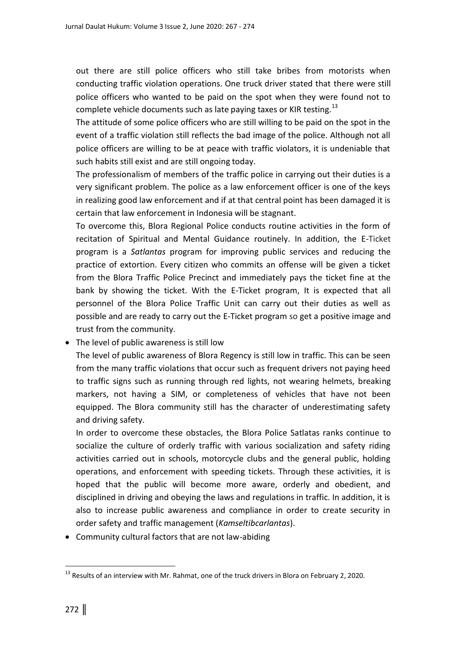out there are still police officers who still take bribes from motorists when conducting traffic violation operations. One truck driver stated that there were still police officers who wanted to be paid on the spot when they were found not to complete vehicle documents such as late paying taxes or KIR testing.<sup>13</sup>

The attitude of some police officers who are still willing to be paid on the spot in the event of a traffic violation still reflects the bad image of the police. Although not all police officers are willing to be at peace with traffic violators, it is undeniable that such habits still exist and are still ongoing today.

The professionalism of members of the traffic police in carrying out their duties is a very significant problem. The police as a law enforcement officer is one of the keys in realizing good law enforcement and if at that central point has been damaged it is certain that law enforcement in Indonesia will be stagnant.

To overcome this, Blora Regional Police conducts routine activities in the form of recitation of Spiritual and Mental Guidance routinely. In addition, the E*-*Ticket program is a *Satlantas* program for improving public services and reducing the practice of extortion. Every citizen who commits an offense will be given a ticket from the Blora Traffic Police Precinct and immediately pays the ticket fine at the bank by showing the ticket. With the E-Ticket program, It is expected that all personnel of the Blora Police Traffic Unit can carry out their duties as well as possible and are ready to carry out the E-Ticket program so get a positive image and trust from the community.

# The level of public awareness is still low

The level of public awareness of Blora Regency is still low in traffic. This can be seen from the many traffic violations that occur such as frequent drivers not paying heed to traffic signs such as running through red lights, not wearing helmets, breaking markers, not having a SIM, or completeness of vehicles that have not been equipped. The Blora community still has the character of underestimating safety and driving safety.

In order to overcome these obstacles, the Blora Police Satlatas ranks continue to socialize the culture of orderly traffic with various socialization and safety riding activities carried out in schools, motorcycle clubs and the general public, holding operations, and enforcement with speeding tickets. Through these activities, it is hoped that the public will become more aware, orderly and obedient, and disciplined in driving and obeying the laws and regulations in traffic. In addition, it is also to increase public awareness and compliance in order to create security in order safety and traffic management (*Kamseltibcarlantas*).

Community cultural factors that are not law-abiding

 $\overline{a}$ 

<sup>&</sup>lt;sup>13</sup> Results of an interview with Mr. Rahmat, one of the truck drivers in Blora on February 2, 2020.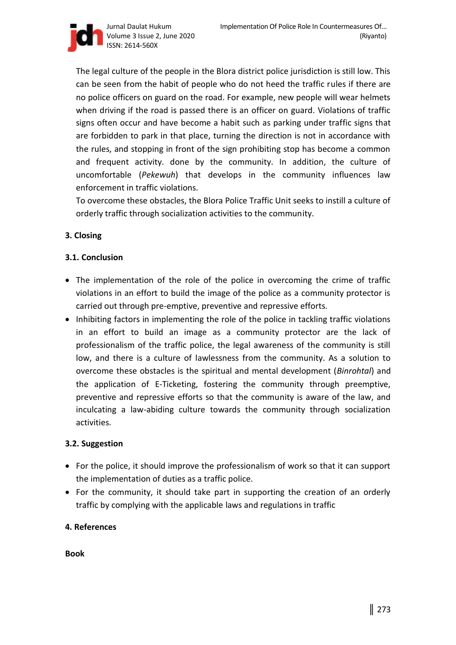Jurnal Daulat Hukum Volume 3 Issue 2, June 2020 ISSN: 2614-560X

The legal culture of the people in the Blora district police jurisdiction is still low. This can be seen from the habit of people who do not heed the traffic rules if there are no police officers on guard on the road. For example, new people will wear helmets when driving if the road is passed there is an officer on guard. Violations of traffic signs often occur and have become a habit such as parking under traffic signs that are forbidden to park in that place, turning the direction is not in accordance with the rules, and stopping in front of the sign prohibiting stop has become a common and frequent activity. done by the community. In addition, the culture of uncomfortable (*Pekewuh*) that develops in the community influences law enforcement in traffic violations.

To overcome these obstacles, the Blora Police Traffic Unit seeks to instill a culture of orderly traffic through socialization activities to the community.

# **3. Closing**

# **3.1. Conclusion**

- The implementation of the role of the police in overcoming the crime of traffic violations in an effort to build the image of the police as a community protector is carried out through pre-emptive, preventive and repressive efforts.
- Inhibiting factors in implementing the role of the police in tackling traffic violations in an effort to build an image as a community protector are the lack of professionalism of the traffic police, the legal awareness of the community is still low, and there is a culture of lawlessness from the community. As a solution to overcome these obstacles is the spiritual and mental development (*Binrohtal*) and the application of E-Ticketing, fostering the community through preemptive, preventive and repressive efforts so that the community is aware of the law, and inculcating a law-abiding culture towards the community through socialization activities.

#### **3.2. Suggestion**

- For the police, it should improve the professionalism of work so that it can support the implementation of duties as a traffic police.
- For the community, it should take part in supporting the creation of an orderly traffic by complying with the applicable laws and regulations in traffic

#### **4. References**

**Book** 

(Riyanto)